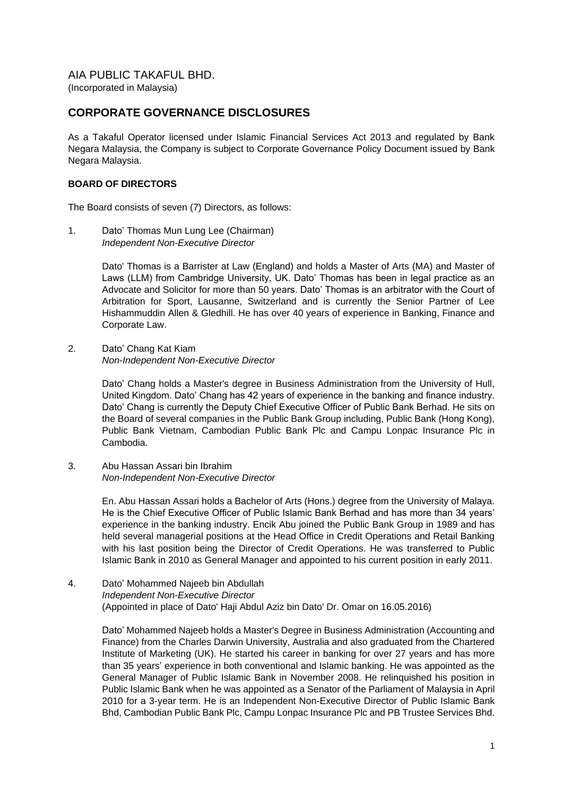## **CORPORATE GOVERNANCE DISCLOSURES**

As a Takaful Operator licensed under Islamic Financial Services Act 2013 and regulated by Bank Negara Malaysia, the Company is subject to Corporate Governance Policy Document issued by Bank Negara Malaysia.

### **BOARD OF DIRECTORS**

The Board consists of seven (7) Directors, as follows:

1. Dato' Thomas Mun Lung Lee (Chairman) *Independent Non-Executive Director*

> Dato' Thomas is a Barrister at Law (England) and holds a Master of Arts (MA) and Master of Laws (LLM) from Cambridge University, UK. Dato' Thomas has been in legal practice as an Advocate and Solicitor for more than 50 years. Dato' Thomas is an arbitrator with the Court of Arbitration for Sport, Lausanne, Switzerland and is currently the Senior Partner of Lee Hishammuddin Allen & Gledhill. He has over 40 years of experience in Banking, Finance and Corporate Law.

2. Dato' Chang Kat Kiam *Non-Independent Non-Executive Director*

> Dato' Chang holds a Master's degree in Business Administration from the University of Hull, United Kingdom. Dato' Chang has 42 years of experience in the banking and finance industry. Dato' Chang is currently the Deputy Chief Executive Officer of Public Bank Berhad. He sits on the Board of several companies in the Public Bank Group including, Public Bank (Hong Kong), Public Bank Vietnam, Cambodian Public Bank Plc and Campu Lonpac Insurance Plc in Cambodia.

3. Abu Hassan Assari bin Ibrahim *Non-Independent Non-Executive Director*

> En. Abu Hassan Assari holds a Bachelor of Arts (Hons.) degree from the University of Malaya. He is the Chief Executive Officer of Public Islamic Bank Berhad and has more than 34 years' experience in the banking industry. Encik Abu joined the Public Bank Group in 1989 and has held several managerial positions at the Head Office in Credit Operations and Retail Banking with his last position being the Director of Credit Operations. He was transferred to Public Islamic Bank in 2010 as General Manager and appointed to his current position in early 2011.

4. Dato' Mohammed Najeeb bin Abdullah *Independent Non-Executive Director* (Appointed in place of Dato' Haji Abdul Aziz bin Dato' Dr. Omar on 16.05.2016)

Dato' Mohammed Najeeb holds a Master's Degree in Business Administration (Accounting and Finance) from the Charles Darwin University, Australia and also graduated from the Chartered Institute of Marketing (UK). He started his career in banking for over 27 years and has more than 35 years' experience in both conventional and Islamic banking. He was appointed as the General Manager of Public Islamic Bank in November 2008. He relinquished his position in Public Islamic Bank when he was appointed as a Senator of the Parliament of Malaysia in April 2010 for a 3-year term. He is an Independent Non-Executive Director of Public Islamic Bank Bhd, Cambodian Public Bank Plc, Campu Lonpac Insurance Plc and PB Trustee Services Bhd.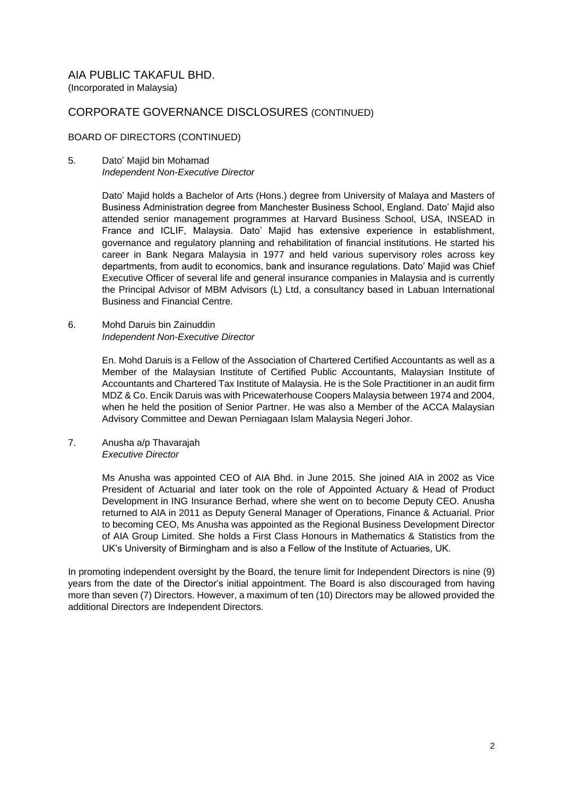## CORPORATE GOVERNANCE DISCLOSURES (CONTINUED)

#### BOARD OF DIRECTORS (CONTINUED)

#### 5. Dato' Majid bin Mohamad *Independent Non-Executive Director*

Dato' Majid holds a Bachelor of Arts (Hons.) degree from University of Malaya and Masters of Business Administration degree from Manchester Business School, England. Dato' Majid also attended senior management programmes at Harvard Business School, USA, INSEAD in France and ICLIF, Malaysia. Dato' Majid has extensive experience in establishment, governance and regulatory planning and rehabilitation of financial institutions. He started his career in Bank Negara Malaysia in 1977 and held various supervisory roles across key departments, from audit to economics, bank and insurance regulations. Dato' Majid was Chief Executive Officer of several life and general insurance companies in Malaysia and is currently the Principal Advisor of MBM Advisors (L) Ltd, a consultancy based in Labuan International Business and Financial Centre.

#### 6. Mohd Daruis bin Zainuddin *Independent Non-Executive Director*

En. Mohd Daruis is a Fellow of the Association of Chartered Certified Accountants as well as a Member of the Malaysian Institute of Certified Public Accountants, Malaysian Institute of Accountants and Chartered Tax Institute of Malaysia. He is the Sole Practitioner in an audit firm MDZ & Co. Encik Daruis was with Pricewaterhouse Coopers Malaysia between 1974 and 2004, when he held the position of Senior Partner. He was also a Member of the ACCA Malaysian Advisory Committee and Dewan Perniagaan Islam Malaysia Negeri Johor.

7. Anusha a/p Thavarajah *Executive Director*

> Ms Anusha was appointed CEO of AIA Bhd. in June 2015. She joined AIA in 2002 as Vice President of Actuarial and later took on the role of Appointed Actuary & Head of Product Development in ING Insurance Berhad, where she went on to become Deputy CEO. Anusha returned to AIA in 2011 as Deputy General Manager of Operations, Finance & Actuarial. Prior to becoming CEO, Ms Anusha was appointed as the Regional Business Development Director of AIA Group Limited. She holds a First Class Honours in Mathematics & Statistics from the UK's University of Birmingham and is also a Fellow of the Institute of Actuaries, UK.

In promoting independent oversight by the Board, the tenure limit for Independent Directors is nine (9) years from the date of the Director's initial appointment. The Board is also discouraged from having more than seven (7) Directors. However, a maximum of ten (10) Directors may be allowed provided the additional Directors are Independent Directors.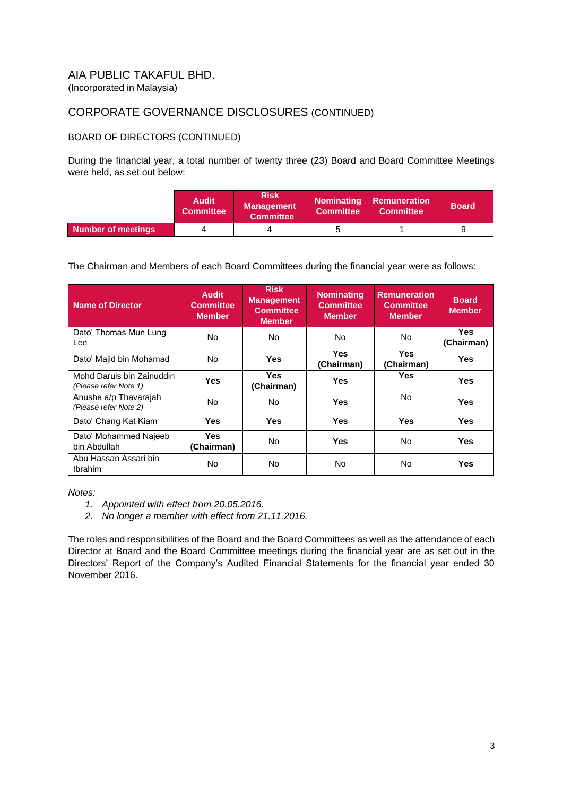# CORPORATE GOVERNANCE DISCLOSURES (CONTINUED)

## BOARD OF DIRECTORS (CONTINUED)

During the financial year, a total number of twenty three (23) Board and Board Committee Meetings were held, as set out below:

|                    | <b>Audit</b><br><b>Committee</b> | <b>Risk</b><br><b>Management</b><br><b>Committee</b> | <b>Committee</b> | <b>Nominating Remuneration</b><br><b>Committee</b> | <b>Board</b> |
|--------------------|----------------------------------|------------------------------------------------------|------------------|----------------------------------------------------|--------------|
| Number of meetings |                                  |                                                      |                  |                                                    |              |

The Chairman and Members of each Board Committees during the financial year were as follows:

| <b>Name of Director</b>                            | <b>Audit</b><br><b>Committee</b><br><b>Member</b> | <b>Risk</b><br><b>Management</b><br><b>Committee</b><br><b>Member</b> | <b>Nominating</b><br><b>Committee</b><br><b>Member</b> | <b>Remuneration</b><br>Committee<br><b>Member</b> | <b>Board</b><br><b>Member</b> |
|----------------------------------------------------|---------------------------------------------------|-----------------------------------------------------------------------|--------------------------------------------------------|---------------------------------------------------|-------------------------------|
| Dato' Thomas Mun Lung<br>Lee                       | <b>No</b>                                         | No.                                                                   | No.                                                    | No.                                               | Yes.<br>(Chairman)            |
| Dato' Majid bin Mohamad                            | <b>No</b>                                         | <b>Yes</b>                                                            | Yes.<br>(Chairman)                                     | <b>Yes</b><br>(Chairman)                          | <b>Yes</b>                    |
| Mohd Daruis bin Zainuddin<br>(Please refer Note 1) | <b>Yes</b>                                        | <b>Yes</b><br>(Chairman)                                              | <b>Yes</b>                                             | <b>Yes</b>                                        | <b>Yes</b>                    |
| Anusha a/p Thavarajah<br>(Please refer Note 2)     | N <sub>o</sub>                                    | No.                                                                   | <b>Yes</b>                                             | No.                                               | Yes                           |
| Dato' Chang Kat Kiam                               | <b>Yes</b>                                        | <b>Yes</b>                                                            | <b>Yes</b>                                             | <b>Yes</b>                                        | <b>Yes</b>                    |
| Dato' Mohammed Najeeb<br>bin Abdullah              | Yes.<br>(Chairman)                                | No.                                                                   | <b>Yes</b>                                             | No.                                               | <b>Yes</b>                    |
| Abu Hassan Assari bin<br><b>Ibrahim</b>            | <b>No</b>                                         | No.                                                                   | No.                                                    | <b>No</b>                                         | Yes                           |

*Notes:*

- *1. Appointed with effect from 20.05.2016.*
- *2. No longer a member with effect from 21.11.2016.*

The roles and responsibilities of the Board and the Board Committees as well as the attendance of each Director at Board and the Board Committee meetings during the financial year are as set out in the Directors' Report of the Company's Audited Financial Statements for the financial year ended 30 November 2016.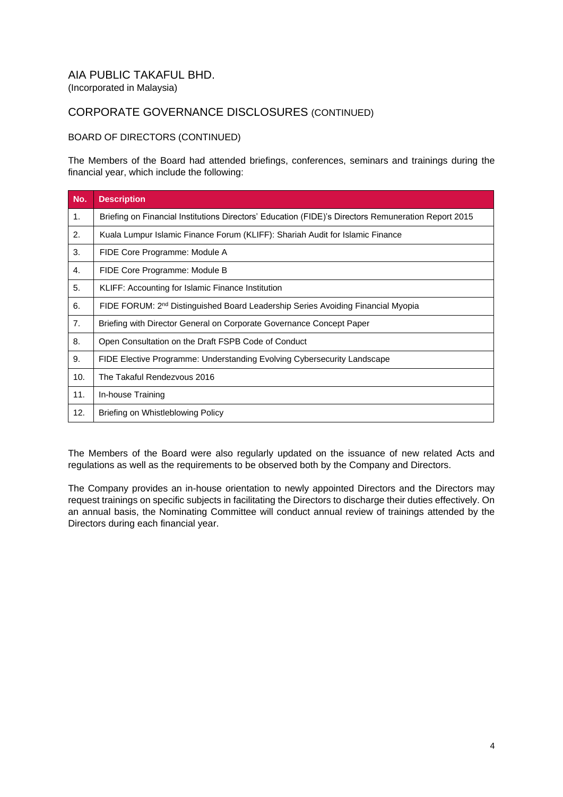# CORPORATE GOVERNANCE DISCLOSURES (CONTINUED)

#### BOARD OF DIRECTORS (CONTINUED)

The Members of the Board had attended briefings, conferences, seminars and trainings during the financial year, which include the following:

| No. | <b>Description</b>                                                                                  |
|-----|-----------------------------------------------------------------------------------------------------|
| 1.  | Briefing on Financial Institutions Directors' Education (FIDE)'s Directors Remuneration Report 2015 |
| 2.  | Kuala Lumpur Islamic Finance Forum (KLIFF): Shariah Audit for Islamic Finance                       |
| 3.  | FIDE Core Programme: Module A                                                                       |
| 4.  | FIDE Core Programme: Module B                                                                       |
| 5.  | KLIFF: Accounting for Islamic Finance Institution                                                   |
| 6.  | FIDE FORUM: 2 <sup>nd</sup> Distinguished Board Leadership Series Avoiding Financial Myopia         |
| 7.  | Briefing with Director General on Corporate Governance Concept Paper                                |
| 8.  | Open Consultation on the Draft FSPB Code of Conduct                                                 |
| 9.  | FIDE Elective Programme: Understanding Evolving Cybersecurity Landscape                             |
| 10. | The Takaful Rendezvous 2016                                                                         |
| 11. | In-house Training                                                                                   |
| 12. | Briefing on Whistleblowing Policy                                                                   |

The Members of the Board were also regularly updated on the issuance of new related Acts and regulations as well as the requirements to be observed both by the Company and Directors.

The Company provides an in-house orientation to newly appointed Directors and the Directors may request trainings on specific subjects in facilitating the Directors to discharge their duties effectively. On an annual basis, the Nominating Committee will conduct annual review of trainings attended by the Directors during each financial year.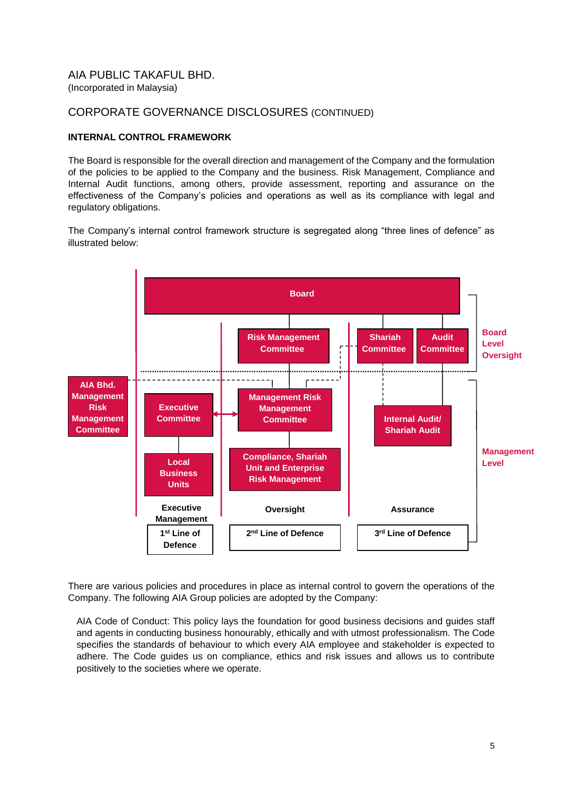## CORPORATE GOVERNANCE DISCLOSURES (CONTINUED)

#### **INTERNAL CONTROL FRAMEWORK**

The Board is responsible for the overall direction and management of the Company and the formulation of the policies to be applied to the Company and the business. Risk Management, Compliance and Internal Audit functions, among others, provide assessment, reporting and assurance on the effectiveness of the Company's policies and operations as well as its compliance with legal and regulatory obligations.

The Company's internal control framework structure is segregated along "three lines of defence" as illustrated below:



There are various policies and procedures in place as internal control to govern the operations of the Company. The following AIA Group policies are adopted by the Company:

AIA Code of Conduct: This policy lays the foundation for good business decisions and guides staff and agents in conducting business honourably, ethically and with utmost professionalism. The Code specifies the standards of behaviour to which every AIA employee and stakeholder is expected to adhere. The Code guides us on compliance, ethics and risk issues and allows us to contribute positively to the societies where we operate.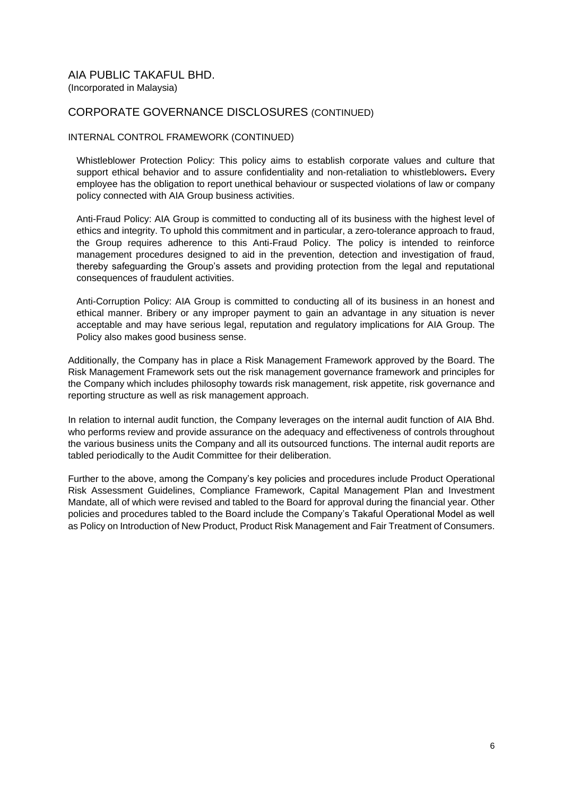## CORPORATE GOVERNANCE DISCLOSURES (CONTINUED)

#### INTERNAL CONTROL FRAMEWORK (CONTINUED)

Whistleblower Protection Policy: This policy aims to establish corporate values and culture that support ethical behavior and to assure confidentiality and non-retaliation to whistleblowers**.** Every employee has the obligation to report unethical behaviour or suspected violations of law or company policy connected with AIA Group business activities.

Anti-Fraud Policy: AIA Group is committed to conducting all of its business with the highest level of ethics and integrity. To uphold this commitment and in particular, a zero-tolerance approach to fraud, the Group requires adherence to this Anti-Fraud Policy. The policy is intended to reinforce management procedures designed to aid in the prevention, detection and investigation of fraud, thereby safeguarding the Group's assets and providing protection from the legal and reputational consequences of fraudulent activities.

Anti-Corruption Policy: AIA Group is committed to conducting all of its business in an honest and ethical manner. Bribery or any improper payment to gain an advantage in any situation is never acceptable and may have serious legal, reputation and regulatory implications for AIA Group. The Policy also makes good business sense.

Additionally, the Company has in place a Risk Management Framework approved by the Board. The Risk Management Framework sets out the risk management governance framework and principles for the Company which includes philosophy towards risk management, risk appetite, risk governance and reporting structure as well as risk management approach.

In relation to internal audit function, the Company leverages on the internal audit function of AIA Bhd. who performs review and provide assurance on the adequacy and effectiveness of controls throughout the various business units the Company and all its outsourced functions. The internal audit reports are tabled periodically to the Audit Committee for their deliberation.

Further to the above, among the Company's key policies and procedures include Product Operational Risk Assessment Guidelines, Compliance Framework, Capital Management Plan and Investment Mandate, all of which were revised and tabled to the Board for approval during the financial year. Other policies and procedures tabled to the Board include the Company's Takaful Operational Model as well as Policy on Introduction of New Product, Product Risk Management and Fair Treatment of Consumers.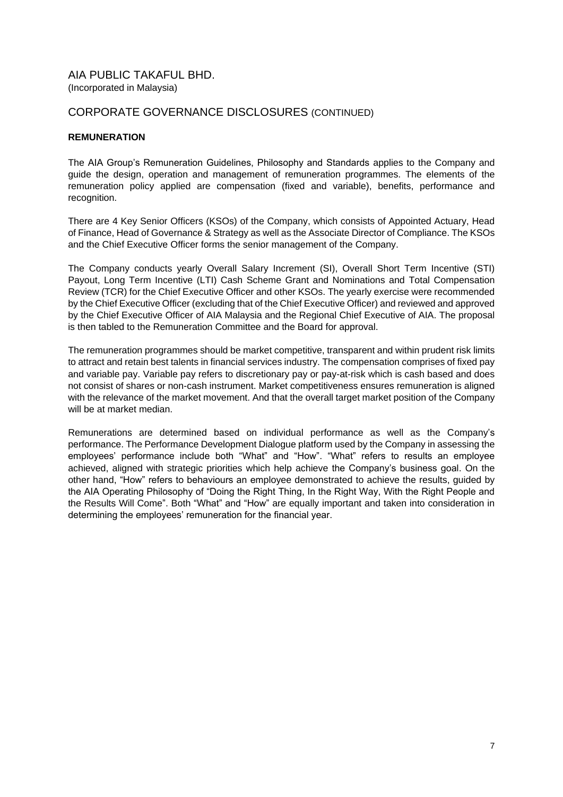## CORPORATE GOVERNANCE DISCLOSURES (CONTINUED)

#### **REMUNERATION**

The AIA Group's Remuneration Guidelines, Philosophy and Standards applies to the Company and guide the design, operation and management of remuneration programmes. The elements of the remuneration policy applied are compensation (fixed and variable), benefits, performance and recognition.

There are 4 Key Senior Officers (KSOs) of the Company, which consists of Appointed Actuary, Head of Finance, Head of Governance & Strategy as well as the Associate Director of Compliance. The KSOs and the Chief Executive Officer forms the senior management of the Company.

The Company conducts yearly Overall Salary Increment (SI), Overall Short Term Incentive (STI) Payout, Long Term Incentive (LTI) Cash Scheme Grant and Nominations and Total Compensation Review (TCR) for the Chief Executive Officer and other KSOs. The yearly exercise were recommended by the Chief Executive Officer (excluding that of the Chief Executive Officer) and reviewed and approved by the Chief Executive Officer of AIA Malaysia and the Regional Chief Executive of AIA. The proposal is then tabled to the Remuneration Committee and the Board for approval.

The remuneration programmes should be market competitive, transparent and within prudent risk limits to attract and retain best talents in financial services industry. The compensation comprises of fixed pay and variable pay. Variable pay refers to discretionary pay or pay-at-risk which is cash based and does not consist of shares or non-cash instrument. Market competitiveness ensures remuneration is aligned with the relevance of the market movement. And that the overall target market position of the Company will be at market median.

Remunerations are determined based on individual performance as well as the Company's performance. The Performance Development Dialogue platform used by the Company in assessing the employees' performance include both "What" and "How". "What" refers to results an employee achieved, aligned with strategic priorities which help achieve the Company's business goal. On the other hand, "How" refers to behaviours an employee demonstrated to achieve the results, guided by the AIA Operating Philosophy of "Doing the Right Thing, In the Right Way, With the Right People and the Results Will Come". Both "What" and "How" are equally important and taken into consideration in determining the employees' remuneration for the financial year.